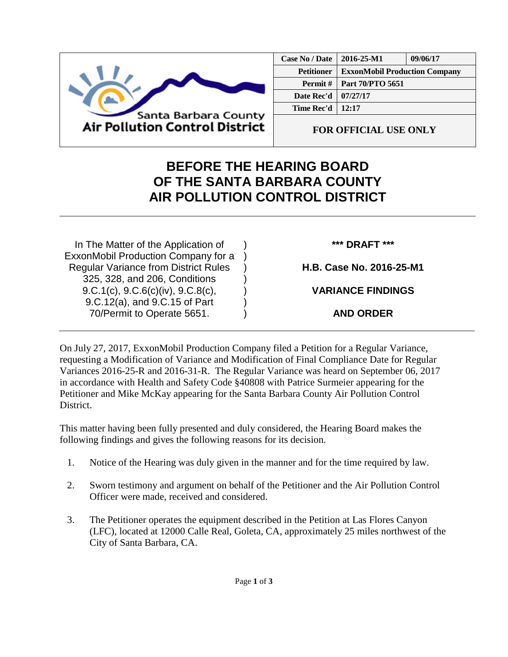

| Case No / Date    | 2016-25-M1                           | 09/06/17 |
|-------------------|--------------------------------------|----------|
| <b>Petitioner</b> | <b>ExxonMobil Production Company</b> |          |
| Permit#           | Part 70/PTO 5651                     |          |
| Date Rec'd        | 07/27/17                             |          |
| Time Rec'd 1      | 12:17                                |          |
|                   |                                      |          |

**FOR OFFICIAL USE ONLY**

## **BEFORE THE HEARING BOARD OF THE SANTA BARBARA COUNTY AIR POLLUTION CONTROL DISTRICT**

In The Matter of the Application of ExxonMobil Production Company for a Regular Variance from District Rules 325, 328, and 206, Conditions 9.C.1(c), 9.C.6(c)(iv), 9.C.8(c), 9.C.12(a), and 9.C.15 of Part 70/Permit to Operate 5651.

**\*\*\* DRAFT \*\*\***

**H.B. Case No. 2016-25-M1**

**VARIANCE FINDINGS**

**AND ORDER**

On July 27, 2017, ExxonMobil Production Company filed a Petition for a Regular Variance, requesting a Modification of Variance and Modification of Final Compliance Date for Regular Variances 2016-25-R and 2016-31-R. The Regular Variance was heard on September 06, 2017 in accordance with Health and Safety Code §40808 with Patrice Surmeier appearing for the Petitioner and Mike McKay appearing for the Santa Barbara County Air Pollution Control District.

) ) ) ) ) ) )

This matter having been fully presented and duly considered, the Hearing Board makes the following findings and gives the following reasons for its decision.

- 1. Notice of the Hearing was duly given in the manner and for the time required by law.
- 2. Sworn testimony and argument on behalf of the Petitioner and the Air Pollution Control Officer were made, received and considered.
- 3. The Petitioner operates the equipment described in the Petition at Las Flores Canyon (LFC), located at 12000 Calle Real, Goleta, CA, approximately 25 miles northwest of the City of Santa Barbara, CA.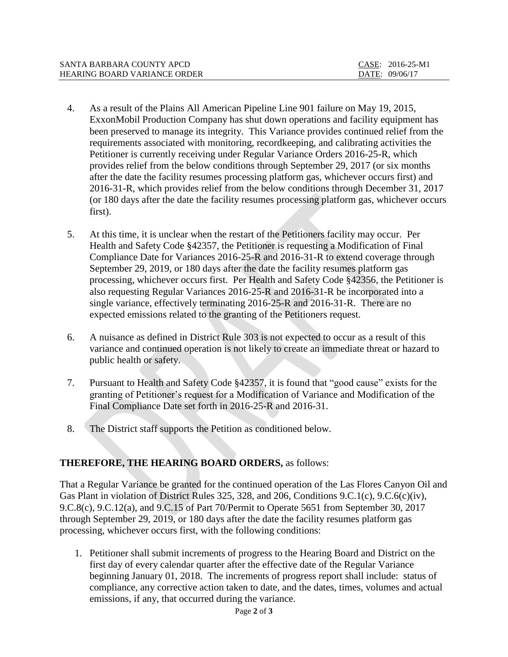| SANTA BARBARA COUNTY APCD    | $CASE: 2016-25-M1$ |
|------------------------------|--------------------|
| HEARING BOARD VARIANCE ORDER | DATE: 09/06/17     |

- 4. As a result of the Plains All American Pipeline Line 901 failure on May 19, 2015, ExxonMobil Production Company has shut down operations and facility equipment has been preserved to manage its integrity. This Variance provides continued relief from the requirements associated with monitoring, recordkeeping, and calibrating activities the Petitioner is currently receiving under Regular Variance Orders 2016-25-R, which provides relief from the below conditions through September 29, 2017 (or six months after the date the facility resumes processing platform gas, whichever occurs first) and 2016-31-R, which provides relief from the below conditions through December 31, 2017 (or 180 days after the date the facility resumes processing platform gas, whichever occurs first).
- 5. At this time, it is unclear when the restart of the Petitioners facility may occur. Per Health and Safety Code §42357, the Petitioner is requesting a Modification of Final Compliance Date for Variances 2016-25-R and 2016-31-R to extend coverage through September 29, 2019, or 180 days after the date the facility resumes platform gas processing, whichever occurs first. Per Health and Safety Code §42356, the Petitioner is also requesting Regular Variances 2016-25-R and 2016-31-R be incorporated into a single variance, effectively terminating 2016-25-R and 2016-31-R. There are no expected emissions related to the granting of the Petitioners request.
- 6. A nuisance as defined in District Rule 303 is not expected to occur as a result of this variance and continued operation is not likely to create an immediate threat or hazard to public health or safety.
- 7. Pursuant to Health and Safety Code §42357, it is found that "good cause" exists for the granting of Petitioner's request for a Modification of Variance and Modification of the Final Compliance Date set forth in 2016-25-R and 2016-31.
- 8. The District staff supports the Petition as conditioned below.

## **THEREFORE, THE HEARING BOARD ORDERS,** as follows:

That a Regular Variance be granted for the continued operation of the Las Flores Canyon Oil and Gas Plant in violation of District Rules 325, 328, and 206, Conditions 9.C.1(c), 9.C.6(c)(iv), 9.C.8(c), 9.C.12(a), and 9.C.15 of Part 70/Permit to Operate 5651 from September 30, 2017 through September 29, 2019, or 180 days after the date the facility resumes platform gas processing, whichever occurs first, with the following conditions:

1. Petitioner shall submit increments of progress to the Hearing Board and District on the first day of every calendar quarter after the effective date of the Regular Variance beginning January 01, 2018. The increments of progress report shall include: status of compliance, any corrective action taken to date, and the dates, times, volumes and actual emissions, if any, that occurred during the variance.